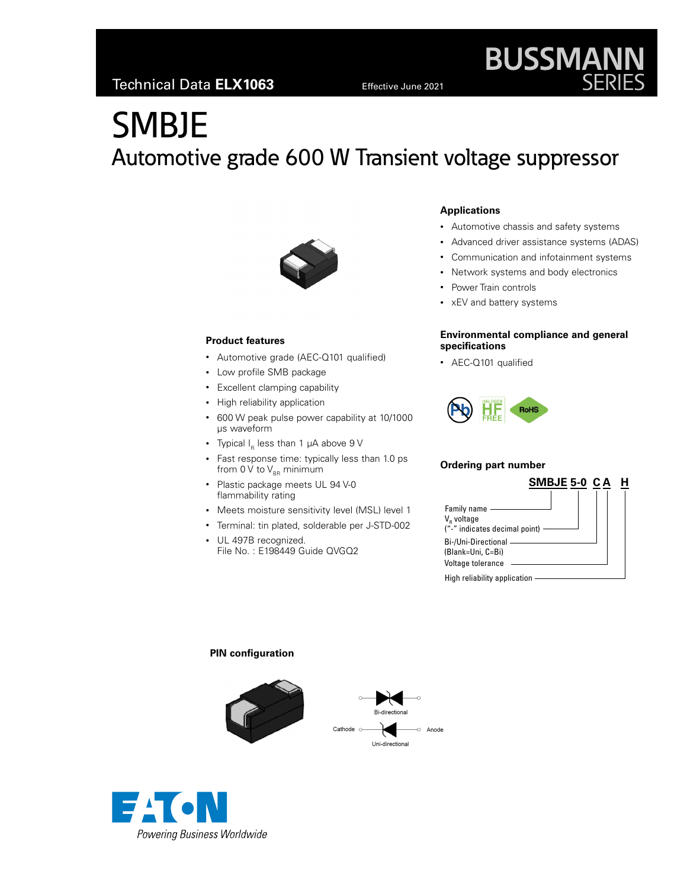# **SMBJE** Automotive grade 600 W Transient voltage suppressor



#### **Product features**

- Automotive grade (AEC-Q101 qualified)
- Low profile SMB package
- Excellent clamping capability
- High reliability application
- 600 W peak pulse power capability at 10/1000 μs waveform
- Typical  $I_R$  less than 1  $\mu$ A above 9 V
- Fast response time: typically less than 1.0 ps from 0 V to  $V_{BB}$  minimum
- Plastic package meets UL 94 V-0 flammability rating
- Meets moisture sensitivity level (MSL) level 1
- Terminal: tin plated, solderable per J-STD-002
- UL 497B recognized. File No. : E198449 Guide QVGQ2

#### **Applications**

- Automotive chassis and safety systems
- Advanced driver assistance systems (ADAS)

**BUSSMANN**<br>SERIES

- Communication and infotainment systems
- Network systems and body electronics
- Power Train controls
- xEV and battery systems

#### **Environmental compliance and general specifications**

• AEC-Q101 qualified



#### **Ordering part number**

o Anode

| SMBJE 5-0 CA                                                             | Н |
|--------------------------------------------------------------------------|---|
| Family name -<br>V <sub>R</sub> voltage<br>("-" indicates decimal point) |   |
| Bi-/Uni-Directional -<br>(Blank=Uni, C=Bi)<br>Voltage tolerance          |   |
| High reliability application                                             |   |

#### **PIN configuration**



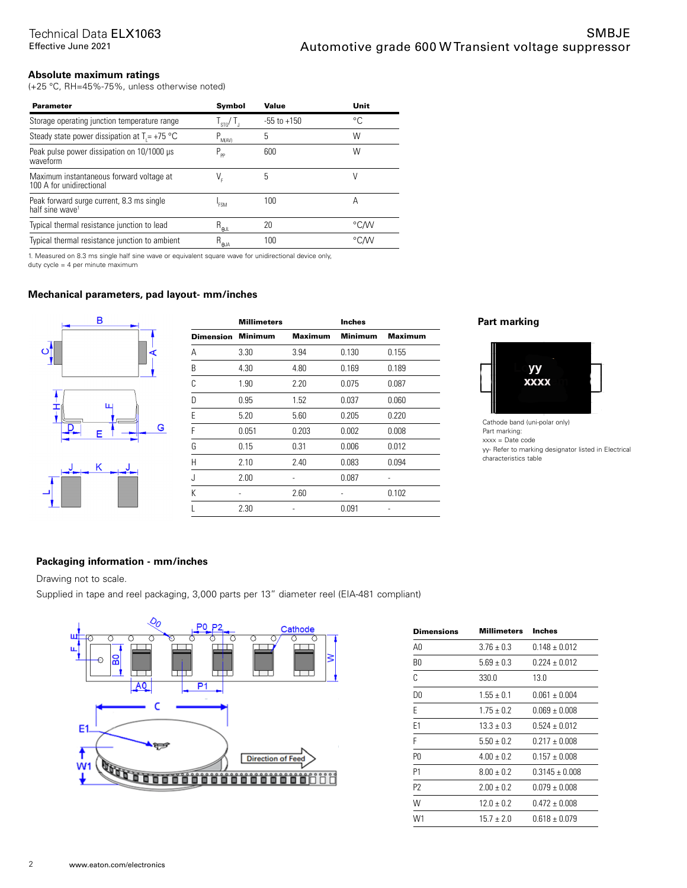#### **Absolute maximum ratings**

(+25 °C, RH=45%-75%, unless otherwise noted)

| <b>Parameter</b>                                                         | Symbol                   | Value           | Unit |
|--------------------------------------------------------------------------|--------------------------|-----------------|------|
| Storage operating junction temperature range                             | $I_{\rm STG}/I_{\rm J}$  | $-55$ to $+150$ | °C   |
| Steady state power dissipation at $T = +75$ °C                           | $P_{M(AV)}$              | 5               | W    |
| Peak pulse power dissipation on 10/1000 µs<br>waveform                   | $P_{\text{pp}}$          | 600             | W    |
| Maximum instantaneous forward voltage at<br>100 A for unidirectional     | V,                       | 5               | V    |
| Peak forward surge current, 8.3 ms single<br>half sine wave <sup>1</sup> | <b>FSM</b>               | 100             | А    |
| Typical thermal resistance junction to lead                              | $R_{_{\Theta\text{JL}}}$ | 20              | °C∕W |
| Typical thermal resistance junction to ambient                           | $R_{\theta JA}$          | 100             | °C∕W |

1. Measured on 8.3 ms single half sine wave or equivalent square wave for unidirectional device only,

duty cycle = 4 per minute maximum

#### **Mechanical parameters, pad layout- mm/inches**



| <b>Millimeters</b> |                | <b>Inches</b>  |                |
|--------------------|----------------|----------------|----------------|
| <b>Minimum</b>     | <b>Maximum</b> | <b>Minimum</b> | <b>Maximum</b> |
| 3.30               | 3.94           | 0.130          | 0.155          |
| 4.30               | 4.80           | 0.169          | 0.189          |
| 1.90               | 2.20           | 0.075          | 0.087          |
| 0.95               | 1.52           | 0.037          | 0.060          |
| 5.20               | 5.60           | 0.205          | 0.220          |
| 0.051              | 0.203          | 0.002          | 0.008          |
| 0.15               | 0.31           | 0.006          | 0.012          |
| 2.10               | 2.40           | 0.083          | 0.094          |
| 2.00               |                | 0.087          |                |
|                    | 2.60           |                | 0.102          |
| 2.30               |                | 0.091          |                |
|                    |                |                |                |

#### **Part marking**



Cathode band (uni-polar only) Part marking: xxxx = Date code yy- Refer to marking designator listed in Electrical characteristics table

#### **Packaging information - mm/inches**

Drawing not to scale.

Supplied in tape and reel packaging, 3,000 parts per 13" diameter reel (EIA-481 compliant)



| Dimensions     | Millimeters    | <b>Inches</b>      |
|----------------|----------------|--------------------|
| A0             | $3.76 + 0.3$   | $0.148 + 0.012$    |
| B0             | $5.69 + 0.3$   | $0.224 + 0.012$    |
| C              | 330.0          | 13.0               |
| D0             | $1.55 \pm 0.1$ | $0.061 + 0.004$    |
| E              | $1.75 \pm 0.2$ | $0.069 \pm 0.008$  |
| F1             | $13.3 + 0.3$   | $0.524 + 0.012$    |
| F              | $5.50 + 0.2$   | $0.217 + 0.008$    |
| P0             | $4.00 + 0.2$   | $0.157 + 0.008$    |
| P1             | $8.00 + 0.2$   | $0.3145 \pm 0.008$ |
| P <sub>2</sub> | $2.00 + 0.2$   | $0.079 \pm 0.008$  |
| W              | $12.0 + 0.2$   | $0.472 + 0.008$    |
| W1             | $15.7 + 2.0$   | $0.618 + 0.079$    |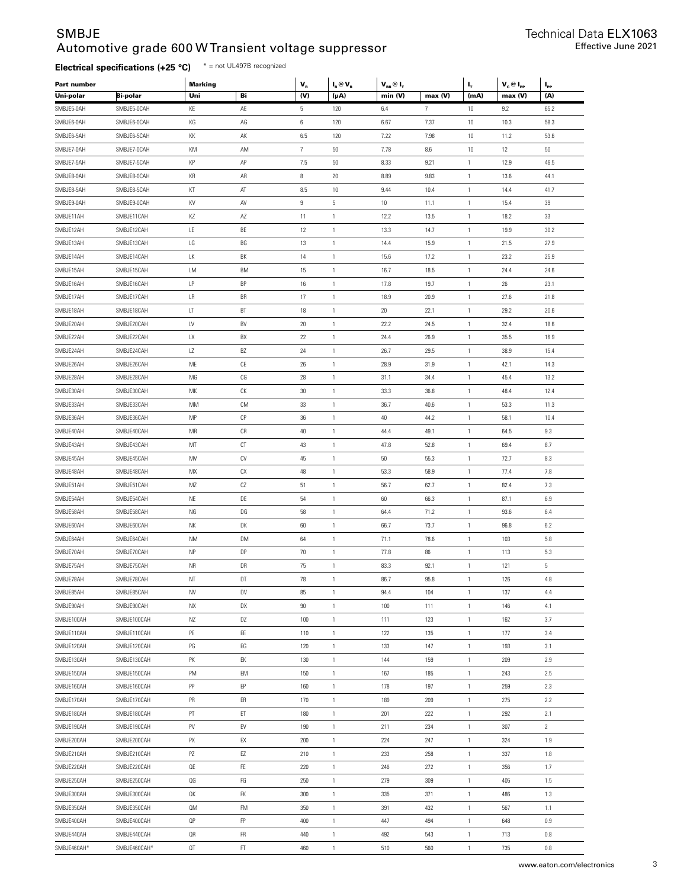#### SMBJE Automotive grade 600 W Transient voltage suppressor

### **Electrical specifications (+25 °C)** \* = not UL497B recognized

| Part number |                 | <b>Marking</b> |                        | $\mathbf{V}_{\textrm{\tiny R}}$ | $I_R \otimes V_R$ | $\mathbf{V}_{\text{\tiny BR}} @ \mathbf{I}_{\sf T}$ |                | ц,           | $V_c @ I_{PP}$ | $\mathbf{I}_{\mathsf{pp}}$ |
|-------------|-----------------|----------------|------------------------|---------------------------------|-------------------|-----------------------------------------------------|----------------|--------------|----------------|----------------------------|
| Uni-polar   | <b>Bi-polar</b> | Uni            | Bi                     | (V)                             | (μA)              | min (V)                                             | max (V)        | (mA)         | max (V)        | (A)                        |
| SMBJE5-0AH  | SMBJE5-0CAH     | KE             | AE                     | 5                               | 120               | 6.4                                                 | $\overline{7}$ | $10\,$       | 9.2            | 65.2                       |
| SMBJE6-0AH  | SMBJE6-0CAH     | KG             | AG                     | 6                               | 120               | 6.67                                                | 7.37           | $10\,$       | 10.3           | 58.3                       |
| SMBJE6-5AH  | SMBJE6-5CAH     | КK             | AK                     | 6.5                             | 120               | 7.22                                                | 7.98           | $10\,$       | 11.2           | 53.6                       |
| SMBJE7-0AH  | SMBJE7-0CAH     | KM             | AM                     | $7\phantom{.}$                  | $50\,$            | 7.78                                                | 8.6            | $10\,$       | 12             | 50                         |
| SMBJE7-5AH  | SMBJE7-5CAH     | КP             | AP                     | 7.5                             | $50\,$            | 8.33                                                | 9.21           | $\mathbf{1}$ | 12.9           | 46.5                       |
| SMBJE8-0AH  | SMBJE8-0CAH     | KR             | AR                     | 8                               | $20\,$            | 8.89                                                | 9.83           | $\mathbf{1}$ | 13.6           | 44.1                       |
| SMBJE8-5AH  | SMBJE8-5CAH     | КT             | AT                     | 8.5                             | $10\,$            | 9.44                                                | 10.4           | $\mathbf{1}$ | 14.4           | 41.7                       |
| SMBJE9-0AH  | SMBJE9-0CAH     | KV             | AV                     | $\boldsymbol{9}$                | 5                 | $10\,$                                              | 11.1           | $\mathbf{1}$ | 15.4           | 39                         |
| SMBJE11AH   | SMBJE11CAH      | ΚZ             | AZ                     | 11                              | $\mathbf{1}$      | 12.2                                                | 13.5           | $\mathbf{1}$ | 18.2           | 33                         |
| SMBJE12AH   | SMBJE12CAH      | LE             | BE                     | 12                              | $\mathbf{1}$      | 13.3                                                | 14.7           | $\mathbf{1}$ | 19.9           | 30.2                       |
| SMBJE13AH   | SMBJE13CAH      | LG             | BG                     | 13                              | $\mathbf{1}$      | 14.4                                                | 15.9           | $\mathbf{1}$ | 21.5           | 27.9                       |
| SMBJE14AH   | SMBJE14CAH      | LК             | BK                     | 14                              | $\mathbf{1}$      | 15.6                                                | 17.2           | $\mathbf{1}$ | 23.2           | 25.9                       |
| SMBJE15AH   | SMBJE15CAH      | LM             | <b>BM</b>              | 15                              | $\mathbf{1}$      | 16.7                                                | 18.5           | $\mathbf{1}$ | 24.4           | 24.6                       |
| SMBJE16AH   | SMBJE16CAH      | LP             | BP                     | 16                              | $\mathbf{1}$      | 17.8                                                | 19.7           | $\mathbf{1}$ | 26             | 23.1                       |
| SMBJE17AH   | SMBJE17CAH      | LR             | BR                     | 17                              | $\mathbf{1}$      | 18.9                                                | 20.9           | $\mathbf{1}$ | 27.6           | 21.8                       |
| SMBJE18AH   | SMBJE18CAH      | LT             | BT                     | 18                              | $\mathbf{1}$      | $20\,$                                              | 22.1           | $\mathbf{1}$ | 29.2           | 20.6                       |
| SMBJE20AH   | SMBJE20CAH      | LV             | BV                     | $20\,$                          | $\mathbf{1}$      | 22.2                                                | 24.5           | $\mathbf{1}$ | 32.4           | 18.6                       |
| SMBJE22AH   | SMBJE22CAH      | LX             | BX                     | 22                              | $\mathbf{1}$      | 24.4                                                | 26.9           | $\mathbf{1}$ | 35.5           | 16.9                       |
| SMBJE24AH   | SMBJE24CAH      | LZ             | BZ                     | 24                              | $\mathbf{1}$      | 26.7                                                | 29.5           | $\mathbf{1}$ | 38.9           | 15.4                       |
| SMBJE26AH   | SMBJE26CAH      | ME             | СE                     | 26                              | $\mathbf{1}$      | 28.9                                                | 31.9           | $\mathbf{1}$ | 42.1           | 14.3                       |
| SMBJE28AH   | SMBJE28CAH      | MG             | CG                     | 28                              | $\mathbf{1}$      | 31.1                                                | 34.4           | $\mathbf{1}$ | 45.4           | 13.2                       |
| SMBJE30AH   | SMBJE30CAH      | МK             | СK                     | 30                              | $\mathbf{1}$      | 33.3                                                | 36.8           | $\mathbf{1}$ | 48.4           | 12.4                       |
|             |                 |                |                        |                                 |                   |                                                     |                | $\mathbf{1}$ |                |                            |
| SMBJE33AH   | SMBJE33CAH      | MM             | <b>CM</b>              | 33                              | $\mathbf{1}$      | 36.7                                                | 40.6           |              | 53.3           | 11.3                       |
| SMBJE36AH   | SMBJE36CAH      | MP             | СP                     | 36                              | $\mathbf{1}$      | $40\,$                                              | 44.2           | $\mathbf{1}$ | 58.1           | 10.4                       |
| SMBJE40AH   | SMBJE40CAH      | MR             | СR                     | 40                              | $\mathbf{1}$      | 44.4                                                | 49.1           | $\mathbf{1}$ | 64.5           | 9.3                        |
| SMBJE43AH   | SMBJE43CAH      | MT             | СT                     | 43                              | $\mathbf{1}$      | 47.8                                                | 52.8           | $\mathbf{1}$ | 69.4           | 8.7                        |
| SMBJE45AH   | SMBJE45CAH      | MV             | CV                     | 45                              | $\mathbf{1}$      | $50\,$                                              | 55.3           | $\mathbf{1}$ | 72.7           | 8.3                        |
| SMBJE48AH   | SMBJE48CAH      | MX             | СX                     | 48                              | $\mathbf{1}$      | 53.3                                                | 58.9           | $\mathbf{1}$ | 77.4           | 7.8                        |
| SMBJE51AH   | SMBJE51CAH      | MZ             | СZ                     | 51                              | $\mathbf{1}$      | 56.7                                                | 62.7           | $\mathbf{1}$ | 82.4           | 7.3                        |
| SMBJE54AH   | SMBJE54CAH      | NE             | DE                     | 54                              | $\mathbf{1}$      | 60                                                  | 66.3           | $\mathbf{1}$ | 87.1           | 6.9                        |
| SMBJE58AH   | SMBJE58CAH      | ΝG             | DG                     | 58                              | $\mathbf{1}$      | 64.4                                                | 71.2           | $\mathbf{1}$ | 93.6           | 6.4                        |
| SMBJE60AH   | SMBJE60CAH      | ΝK             | DK                     | 60                              | $\mathbf{1}$      | 66.7                                                | 73.7           | $\mathbf{1}$ | 96.8           | 6.2                        |
| SMBJE64AH   | SMBJE64CAH      | <b>NM</b>      | DM                     | 64                              | $\mathbf{1}$      | 71.1                                                | 78.6           | 1            | 103            | 5.8                        |
| SMBJE70AH   | SMBJE70CAH      | <b>NP</b>      | DP                     | 70                              | 1                 | 77.8                                                | 86             | $\mathbf{1}$ | 113            | 5.3                        |
| SMBJE75AH   | SMBJE75CAH      | <b>NR</b>      | DR                     | 75                              | 1                 | 83.3                                                | 92.1           | $\mathbf{1}$ | 121            | 5                          |
| SMBJE78AH   | SMBJE78CAH      | NT             | DT                     | 78                              | 1                 | 86.7                                                | 95.8           | 1            | 126            | 4.8                        |
| SMBJE85AH   | SMBJE85CAH      | NV             | DV                     | 85                              | $\mathbf{1}$      | 94.4                                                | 104            | 1            | 137            | 4.4                        |
| SMBJE90AH   | SMBJE90CAH      | NΧ             | DX                     | 90                              | 1                 | 100                                                 | 111            | $\mathbf{1}$ | 146            | 4.1                        |
| SMBJE100AH  | SMBJE100CAH     | ΝZ             | DZ                     | 100                             | $\mathbf{1}$      | 111                                                 | 123            | $\mathbf{1}$ | 162            | 3.7                        |
| SMBJE110AH  | SMBJE110CAH     | PE             | EE                     | 110                             | $\mathbf{1}$      | 122                                                 | 135            | 1            | 177            | 3.4                        |
| SMBJE120AH  | SMBJE120CAH     | PG             | EG                     | 120                             | $\mathbf{1}$      | 133                                                 | 147            | 1            | 193            | 3.1                        |
| SMBJE130AH  | SMBJE130CAH     | PK             | EK                     | 130                             | $\mathbf{1}$      | 144                                                 | 159            | $\mathbf{1}$ | 209            | 2.9                        |
| SMBJE150AH  | SMBJE150CAH     | PM             | EM                     | 150                             | $\mathbf{1}$      | 167                                                 | 185            | $\mathbf{1}$ | 243            | 2.5                        |
| SMBJE160AH  | SMBJE160CAH     | PP             | EP                     | 160                             | 1                 | 178                                                 | 197            | 1            | 259            | 2.3                        |
| SMBJE170AH  | SMBJE170CAH     | PR             | ER                     | 170                             | $\mathbf{1}$      | 189                                                 | 209            | $\mathbf{1}$ | 275            | 2.2                        |
| SMBJE180AH  | SMBJE180CAH     | PT             | ET                     | 180                             | $\mathbf{1}$      | 201                                                 | 222            | $\mathbf{1}$ | 292            | 2.1                        |
| SMBJE190AH  | SMBJE190CAH     | PV             | EV                     | 190                             | $\mathbf{1}$      | 211                                                 | 234            | $\mathbf{1}$ | 307            | $\overline{2}$             |
| SMBJE200AH  | SMBJE200CAH     | PX             | EX                     | 200                             | $\mathbbm{1}$     | 224                                                 | 247            | $\mathbf{1}$ | 324            | 1.9                        |
| SMBJE210AH  | SMBJE210CAH     | PZ             | EZ                     | 210                             | $\mathbbm{1}$     | 233                                                 | 258            | $\mathbf{1}$ | 337            | 1.8                        |
| SMBJE220AH  | SMBJE220CAH     | QE             | FE                     | 220                             | $\mathbf{1}$      | 246                                                 | 272            | $\mathbf{1}$ | 356            | 1.7                        |
| SMBJE250AH  | SMBJE250CAH     | QG             | $\mathop{\mathsf{FG}}$ | 250                             | $\mathbf{1}$      | 279                                                 | 309            | $\mathbf{1}$ | 405            | 1.5                        |
| SMBJE300AH  | SMBJE300CAH     | QK             | FK                     | 300                             | $\mathbbm{1}$     | 335                                                 | 371            | $\mathbf{1}$ | 486            | 1.3                        |
| SMBJE350AH  | SMBJE350CAH     | 0M             | FM                     | 350                             | $\mathbf{1}$      | 391                                                 | 432            | $\mathbf{1}$ | 567            | 1.1                        |
| SMBJE400AH  | SMBJE400CAH     | QP             | ${\sf FP}$             | 400                             | $\mathbf{1}$      | 447                                                 | 494            | $\mathbf{1}$ | 648            | $0.9\,$                    |
| SMBJE440AH  | SMBJE440CAH     | QR             | FR                     | 440                             | $\mathbf{1}$      | 492                                                 | 543            | $\mathbf{1}$ | 713            | 0.8                        |
| SMBJE460AH* | SMBJE460CAH*    | QT             | FT                     | 460                             | $\mathbf{1}$      | 510                                                 | 560            | $\mathbf{1}$ | 735            | 0.8                        |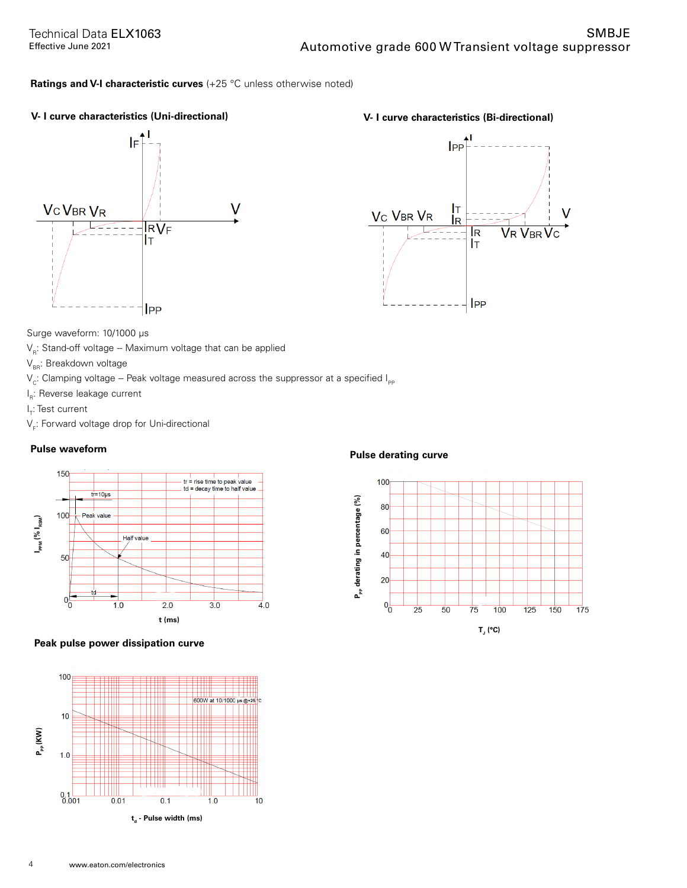#### **Ratings and V-I characteristic curves** (+25 °C unless otherwise noted)





Surge waveform: 10/1000 μs

 $V_{\text{p}}$ : Stand-off voltage -- Maximum voltage that can be applied

 $V_{BB}$ : Breakdown voltage

 $V_{\rm c}$ : Clamping voltage -- Peak voltage measured across the suppressor at a specified  $I_{\rm PP}$ 

l<sub>R</sub>: Reverse leakage current

l<sub>r</sub>: Test current

 $\mathsf{V}_{_{\mathsf{F}}}\mathsf{:}$  Forward voltage drop for Uni-directional



#### **Peak pulse power dissipation curve**



### **Pulse waveform Pulse derating curve**

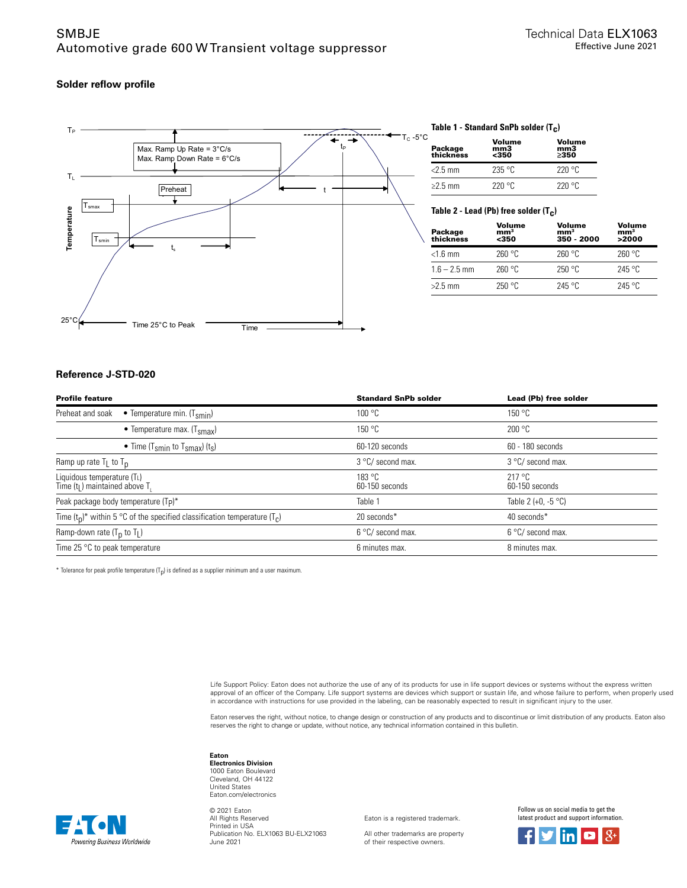#### **Solder reflow profile**



#### **Table 1 - Standard SnPb solder (T c )**

| Package<br>thickness | Volume<br>mm3<br>$350$ | Volume<br>mm <sub>3</sub><br>>350 |
|----------------------|------------------------|-----------------------------------|
| $<$ 2.5 mm           | 235 °C                 | 220°C                             |
| $\geq$ 2.5 mm        | 220°C                  | 220°C                             |

**Table 2 - Lead (Pb) free solder (T c )**

| Package<br>thickness | Volume<br>mm <sup>3</sup><br><350 | Volume<br>mm <sup>3</sup><br>350 - 2000 | Volume<br>mm <sup>3</sup><br>>2000 |
|----------------------|-----------------------------------|-----------------------------------------|------------------------------------|
| $<$ 1.6 mm           | 260 °C                            | 260 °C                                  | 260 °C                             |
| $1.6 - 2.5$ mm       | 260 °C                            | 250 °C                                  | $245$ °C                           |
| $>2.5$ mm            | 250 °C                            | 245 °C                                  | $245$ °C                           |

#### **Reference J-STD-020**

| <b>Profile feature</b>                                                         | <b>Standard SnPb solder</b> | Lead (Pb) free solder             |
|--------------------------------------------------------------------------------|-----------------------------|-----------------------------------|
| Preheat and soak<br>• Temperature min. $(T_{smin})$                            | 100 °C                      | 150 °C                            |
| • Temperature max. $(Tsmax)$                                                   | 150 °C                      | 200 °C                            |
| • Time (T <sub>smin</sub> to T <sub>smax</sub> ) (t <sub>s</sub> )             | 60-120 seconds              | 60 - 180 seconds                  |
| Ramp up rate $T_L$ to $T_D$                                                    | 3 °C/ second max.           | 3 °C/ second max.                 |
| Liquidous temperature (TL)<br>Time $(tL)$ maintained above T.                  | 183 °C<br>60-150 seconds    | $217^{\circ}$ C<br>60-150 seconds |
| Peak package body temperature (Tp)*                                            | Table 1                     | Table 2 (+0, -5 $^{\circ}$ C)     |
| Time $(t_0)^*$ within 5 °C of the specified classification temperature $(T_c)$ | 20 seconds*                 | 40 seconds*                       |
| Ramp-down rate $(T_p$ to $T_l$ )                                               | 6 °C/ second max.           | 6 °C/ second max.                 |
| Time 25 $\degree$ C to peak temperature                                        | 6 minutes max.              | 8 minutes max.                    |

 $^*$  Tolerance for peak profile temperature (T<sub>p</sub>) is defined as a supplier minimum and a user maximum.

Life Support Policy: Eaton does not authorize the use of any of its products for use in life support devices or systems without the express written approval of an officer of the Company. Life support systems are devices which support or sustain life, and whose failure to perform, when properly used in accordance with instructions for use provided in the labeling, can be reasonably expected to result in significant injury to the user.

Eaton reserves the right, without notice, to change design or construction of any products and to discontinue or limit distribution of any products. Eaton also<br>reserves the right to change or update, without notice, any te

#### **Eaton**

**Electronics Division** 1000 Eaton Boulevard Cleveland, OH 44122 United States Eaton.com/electronics

Powering Business Worldwide

© 2021 Eaton All Rights Reserved Printed in USA Publication No. ELX1063 BU-ELX21063 June 2021

Eaton is a registered trademark.

All other trademarks are property of their respective owners.

Follow us on social media to get the latest product and support information.